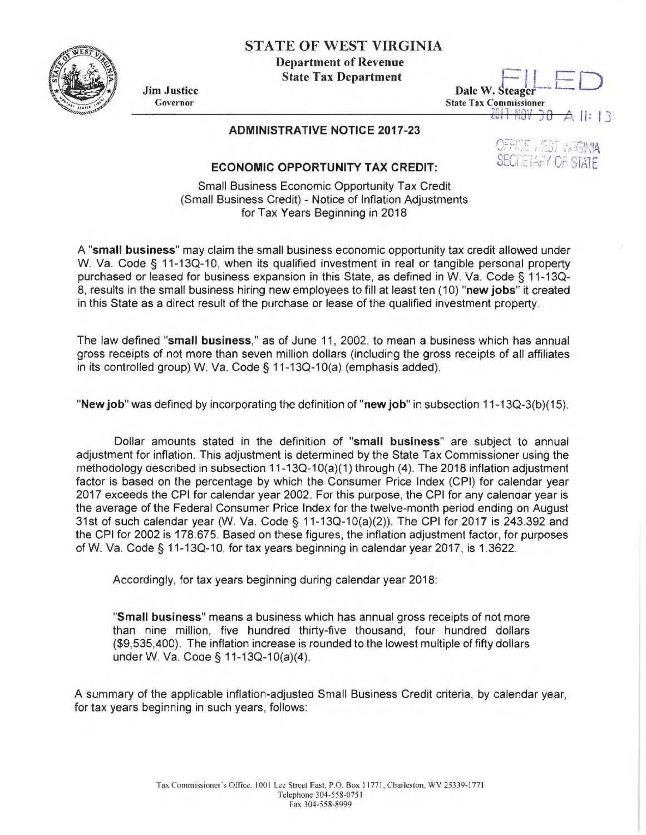## STATE OF WEST VIRGINIA

Department of Revenue **State Tax Department** 

Jim Justice Governor



**OFFICE , GST WIGHNA** SECTETARY OF STATE

## ADMINISTRATIVE NOTICE 2017-23

## ECONOMIC OPPORTUNITY TAX CREDIT:

Small Business Economic Opportunity Tax Credit (Small Business Credit) - Notice of Inflation Adjustments for Tax Years Beginning in 2018

A "small business" may claim the small business economic opportunity tax credit allowed under W. Va. Code § 11-13Q-10, when its qualified investment in real or tangible personal property purchased or leased for business expansion in this State, as defined in W. Va. Code § 11-130- 8, results in the small business hiring new employees to fill at least ten (10) "new jobs" it created in this State as a direct result of the purchase or lease of the qualified investment property.

The law defined "small business," as of June 11, 2002, to mean a business which has annual gross receipts of not more than seven million dollars (including the gross receipts of all affiliates in its controlled group) W. Va. Code§ 11-130-10(a) (emphasis added).

"New job" was defined by incorporating the definition of "new job" in subsection 11-130-3(b)(15).

Dollar amounts stated in the definition of "small business" are subject to annual adjustment for inflation. This adjustment is determined by the State Tax Commissioner using the methodology described in subsection 11-130-10(a)(1) through (4). The 2018 inflation adjustment factor is based on the percentage by which the Consumer Price Index (CPI) for calendar year 2017 exceeds the CPI for calendar year 2002. For this purpose, the CPI for any calendar year is the average of the Federal Consumer Price Index for the twelve-month period ending on August 31st of such calendar year (W. Va. Code§ 11-130-10(a)(2)). The CPI for 2017 is 243.392 and the CPI for 2002 is 178.675. Based on these figures, the inflation adjustment factor, for purposes of W. Va. Code§ 11 -130-10, for tax years beginning in calendar year 2017, is 1.3622.

Accordingly, for tax years beginning during calendar year 2018:

"Small business" means a business which has annual gross receipts of not more than nine million, five hundred thirty-five thousand, four hundred dollars (\$9,535,400). The inflation increase is rounded to the lowest multiple offifty dollars under W. Va. Code § 11-13Q-10(a)(4).

A summary of the applicable inflation-adjusted Small Business Credit criteria, by calendar year, for tax years beginning in such years, follows: